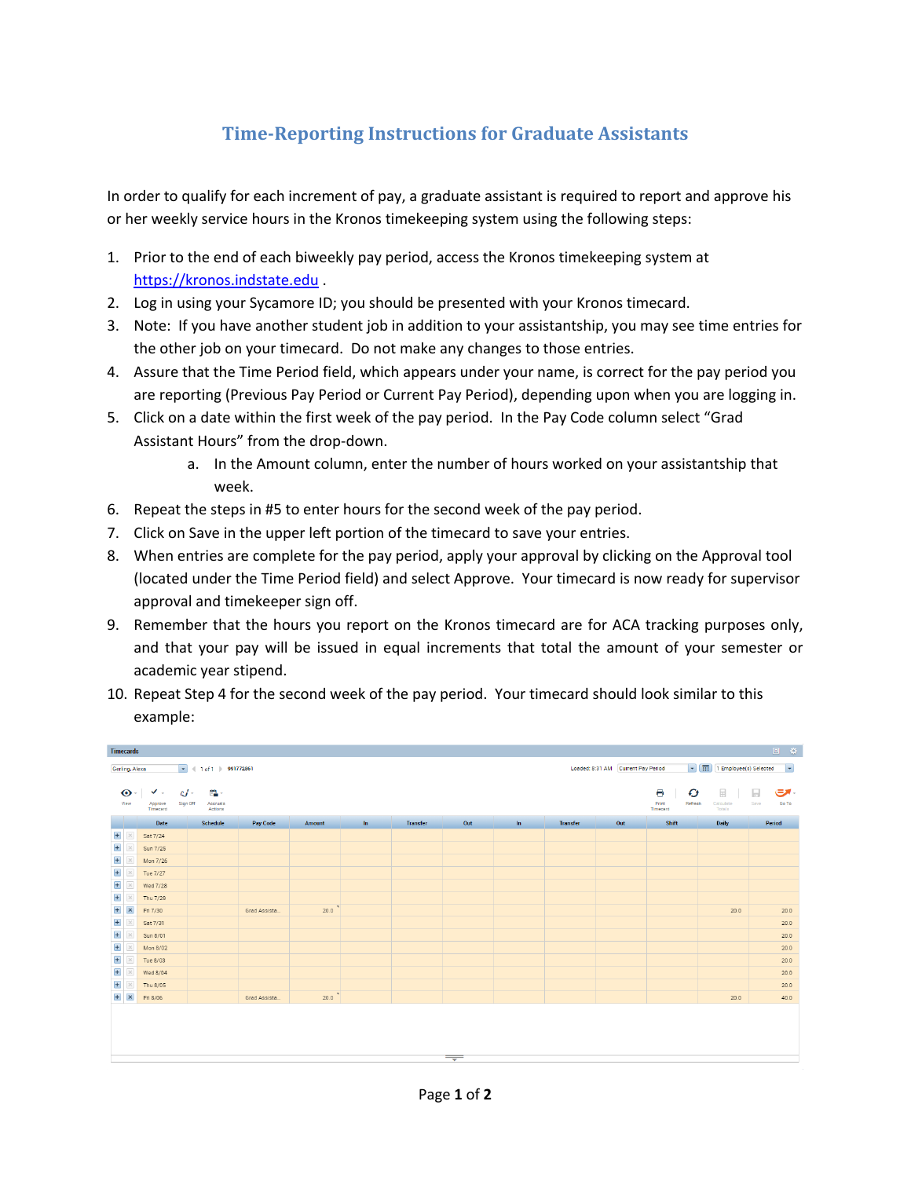## **Time-Reporting Instructions for Graduate Assistants**

In order to qualify for each increment of pay, a graduate assistant is required to report and approve his or her weekly service hours in the Kronos timekeeping system using the following steps:

- 1. Prior to the end of each biweekly pay period, access the Kronos timekeeping system at https://kronos.indstate.edu .
- 2. Log in using your Sycamore ID; you should be presented with your Kronos timecard.
- 3. Note: If you have another student job in addition to your assistantship, you may see time entries for the other job on your timecard. Do not make any changes to those entries.
- 4. Assure that the Time Period field, which appears under your name, is correct for the pay period you are reporting (Previous Pay Period or Current Pay Period), depending upon when you are logging in.
- 5. Click on a date within the first week of the pay period. In the Pay Code column select "Grad Assistant Hours" from the drop-down.
	- a. In the Amount column, enter the number of hours worked on your assistantship that week.
- 6. Repeat the steps in #5 to enter hours for the second week of the pay period.
- 7. Click on Save in the upper left portion of the timecard to save your entries.
- 8. When entries are complete for the pay period, apply your approval by clicking on the Approval tool (located under the Time Period field) and select Approve. Your timecard is now ready for supervisor approval and timekeeper sign off.
- 9. Remember that the hours you report on the Kronos timecard are for ACA tracking purposes only, and that your pay will be issued in equal increments that total the amount of your semester or academic year stipend.
- 10. Repeat Step 4 for the second week of the pay period. Your timecard should look similar to this example:

|                | 回登<br><b>Timecards</b>                                                                                                                                                                                          |                     |                                 |              |        |    |                 |                          |       |                 |     |                              |                     |               |
|----------------|-----------------------------------------------------------------------------------------------------------------------------------------------------------------------------------------------------------------|---------------------|---------------------------------|--------------|--------|----|-----------------|--------------------------|-------|-----------------|-----|------------------------------|---------------------|---------------|
|                | $\blacktriangleright$ $\boxed{11}$ Employee(s) Selected<br>$\vert \hspace{0.1 cm} \star \hspace{0.1 cm} \vert$<br>Loaded: 8:31 AM Current Pay Period<br>$\boxed{\bullet}$ (1 of 1 > 991772861<br>Gerling, Alexa |                     |                                 |              |        |    |                 |                          |       |                 |     |                              |                     |               |
| $\odot$        |                                                                                                                                                                                                                 | $\checkmark$ .      | $c$ / $-$<br>臨人                 |              |        |    |                 |                          |       |                 |     | Θ<br>O                       | ۰ ه<br>圓            |               |
| View           |                                                                                                                                                                                                                 | Approve<br>Timecard | Sign Off<br>Accruals<br>Actions |              |        |    |                 |                          |       |                 |     | Print<br>Refresh<br>Timecard | Calculate<br>Totals | Go To<br>Save |
|                |                                                                                                                                                                                                                 | Date                | <b>Schedule</b>                 | Pay Code     | Amount | In | <b>Transfer</b> | Out                      | $\ln$ | <b>Transfer</b> | Out | Shift                        | <b>Daily</b>        | Period        |
| $\pm$          | $\times$                                                                                                                                                                                                        | Sat 7/24            |                                 |              |        |    |                 |                          |       |                 |     |                              |                     |               |
| $\pm$          | $\times$                                                                                                                                                                                                        | Sun 7/25            |                                 |              |        |    |                 |                          |       |                 |     |                              |                     |               |
| $\overline{+}$ | $\times$                                                                                                                                                                                                        | Mon 7/26            |                                 |              |        |    |                 |                          |       |                 |     |                              |                     |               |
| $\pm$          | $\times$                                                                                                                                                                                                        | Tue 7/27            |                                 |              |        |    |                 |                          |       |                 |     |                              |                     |               |
| $\pm$          | $\times$                                                                                                                                                                                                        | Wed 7/28            |                                 |              |        |    |                 |                          |       |                 |     |                              |                     |               |
| $\overline{+}$ | $\times$                                                                                                                                                                                                        | Thu 7/29            |                                 |              |        |    |                 |                          |       |                 |     |                              |                     |               |
| $\pm$          | $\pmb{\times}$                                                                                                                                                                                                  | Fri 7/30            |                                 | Grad Assista | 20.0   |    |                 |                          |       |                 |     |                              | 20.0                | 20.0          |
| $\pm$          | $\times$                                                                                                                                                                                                        | Sat 7/31            |                                 |              |        |    |                 |                          |       |                 |     |                              |                     | 20.0          |
| $\overline{+}$ | $\times$                                                                                                                                                                                                        | Sun 8/01            |                                 |              |        |    |                 |                          |       |                 |     |                              |                     | 20.0          |
| $\pm$          | $\times$                                                                                                                                                                                                        | Mon 8/02            |                                 |              |        |    |                 |                          |       |                 |     |                              |                     | 20.0          |
| $\pm$          | $\times$                                                                                                                                                                                                        | Tue 8/03            |                                 |              |        |    |                 |                          |       |                 |     |                              |                     | 20.0          |
| $\pm$          | $\times$                                                                                                                                                                                                        | Wed 8/04            |                                 |              |        |    |                 |                          |       |                 |     |                              |                     | 20.0          |
| $+$            | ×                                                                                                                                                                                                               | Thu 8/05            |                                 |              |        |    |                 |                          |       |                 |     |                              |                     | 20.0          |
| $+$            | $\pmb{\times}$                                                                                                                                                                                                  | Fri 8/06            |                                 | Grad Assista | 20.0   |    |                 |                          |       |                 |     |                              | 20.0                | 40.0          |
|                |                                                                                                                                                                                                                 |                     |                                 |              |        |    |                 | $\overline{\phantom{a}}$ |       |                 |     |                              |                     |               |